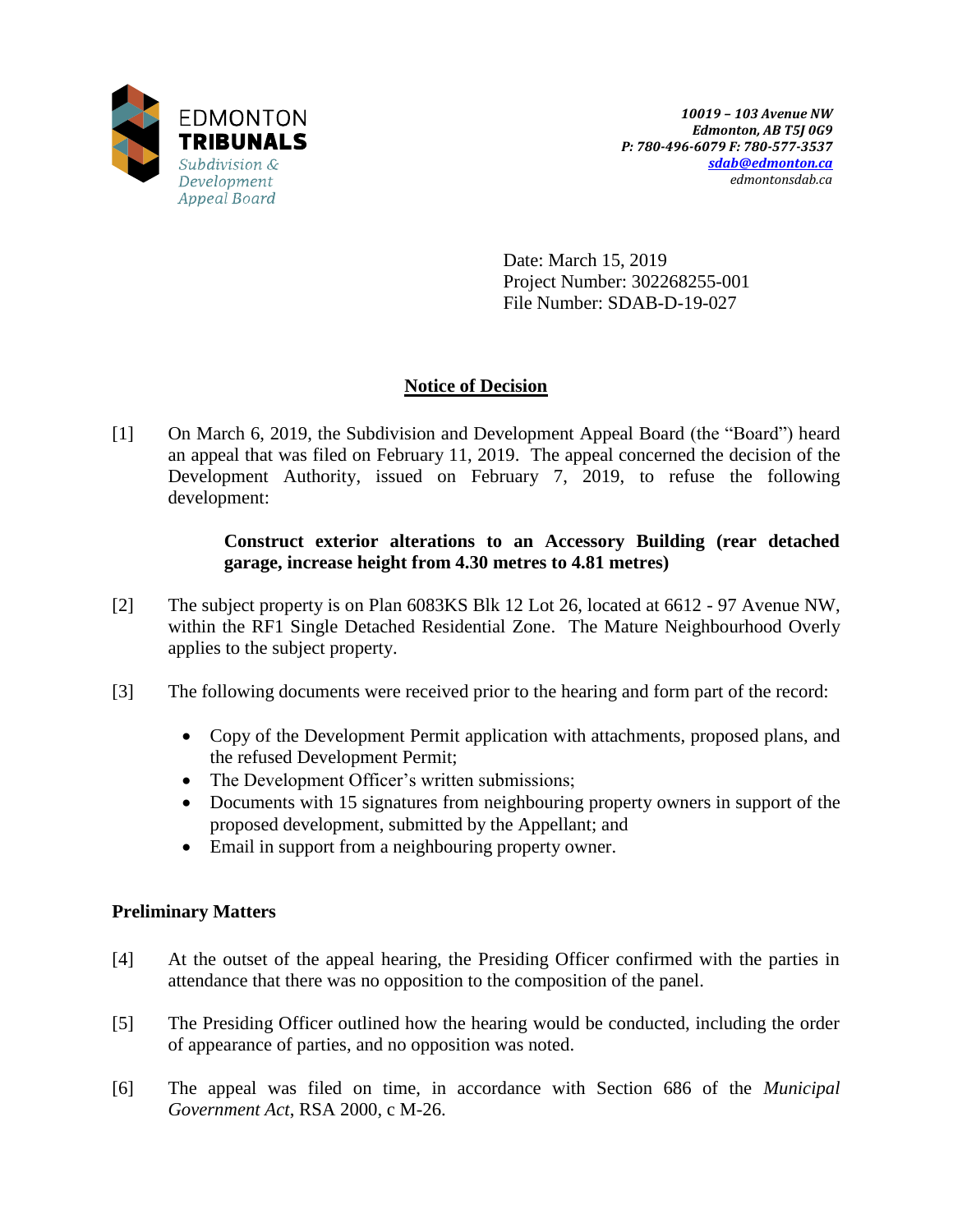

Date: March 15, 2019 Project Number: 302268255-001 File Number: SDAB-D-19-027

# **Notice of Decision**

[1] On March 6, 2019, the Subdivision and Development Appeal Board (the "Board") heard an appeal that was filed on February 11, 2019. The appeal concerned the decision of the Development Authority, issued on February 7, 2019, to refuse the following development:

## **Construct exterior alterations to an Accessory Building (rear detached garage, increase height from 4.30 metres to 4.81 metres)**

- [2] The subject property is on Plan 6083KS Blk 12 Lot 26, located at 6612 97 Avenue NW, within the RF1 Single Detached Residential Zone. The Mature Neighbourhood Overly applies to the subject property.
- [3] The following documents were received prior to the hearing and form part of the record:
	- Copy of the Development Permit application with attachments, proposed plans, and the refused Development Permit;
	- The Development Officer's written submissions;
	- Documents with 15 signatures from neighbouring property owners in support of the proposed development, submitted by the Appellant; and
	- Email in support from a neighbouring property owner.

# **Preliminary Matters**

- [4] At the outset of the appeal hearing, the Presiding Officer confirmed with the parties in attendance that there was no opposition to the composition of the panel.
- [5] The Presiding Officer outlined how the hearing would be conducted, including the order of appearance of parties, and no opposition was noted.
- [6] The appeal was filed on time, in accordance with Section 686 of the *Municipal Government Act*, RSA 2000, c M-26.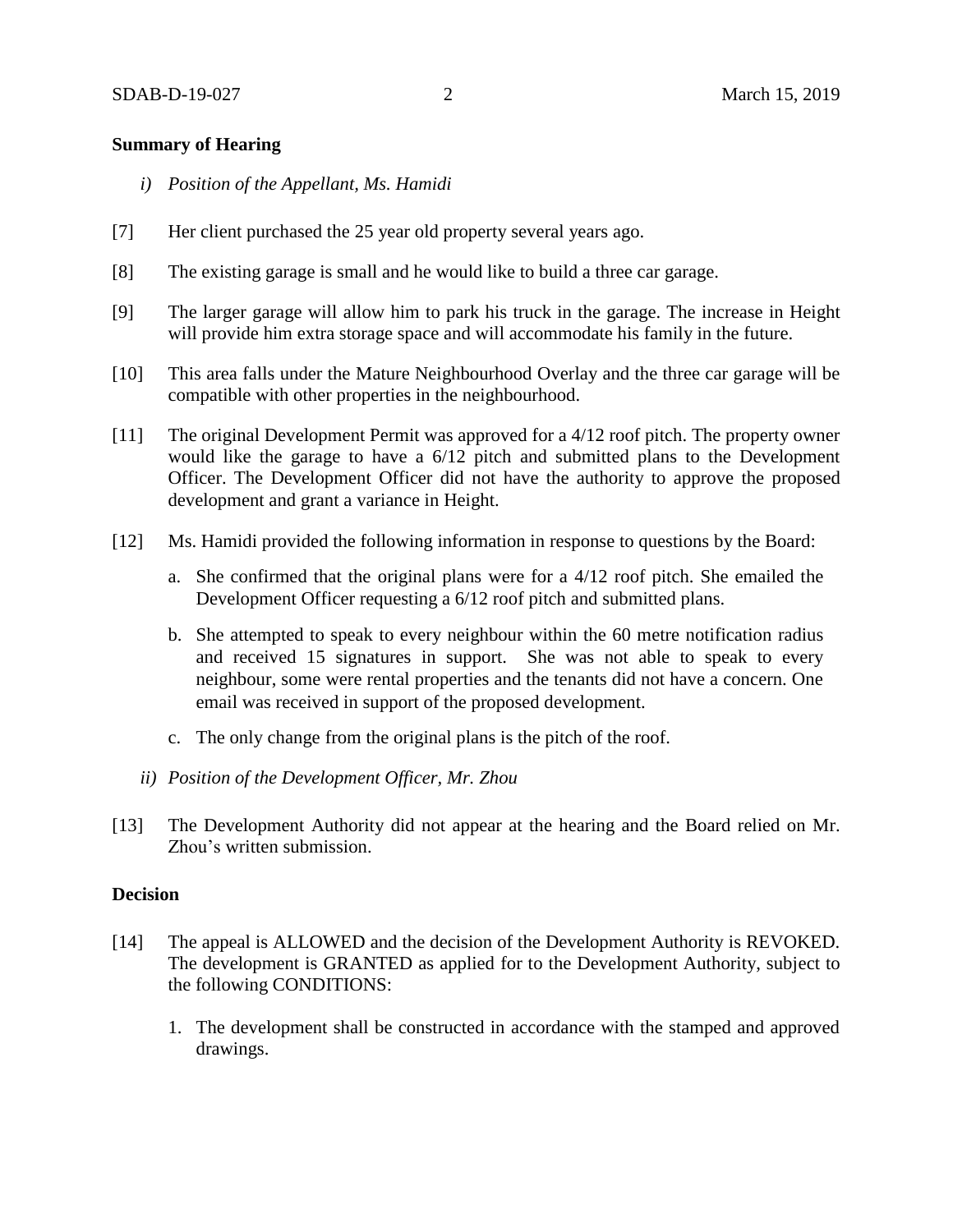### **Summary of Hearing**

- *i) Position of the Appellant, Ms. Hamidi*
- [7] Her client purchased the 25 year old property several years ago.
- [8] The existing garage is small and he would like to build a three car garage.
- [9] The larger garage will allow him to park his truck in the garage. The increase in Height will provide him extra storage space and will accommodate his family in the future.
- [10] This area falls under the Mature Neighbourhood Overlay and the three car garage will be compatible with other properties in the neighbourhood.
- [11] The original Development Permit was approved for a 4/12 roof pitch. The property owner would like the garage to have a 6/12 pitch and submitted plans to the Development Officer. The Development Officer did not have the authority to approve the proposed development and grant a variance in Height.
- [12] Ms. Hamidi provided the following information in response to questions by the Board:
	- a. She confirmed that the original plans were for a 4/12 roof pitch. She emailed the Development Officer requesting a 6/12 roof pitch and submitted plans.
	- b. She attempted to speak to every neighbour within the 60 metre notification radius and received 15 signatures in support. She was not able to speak to every neighbour, some were rental properties and the tenants did not have a concern. One email was received in support of the proposed development.
	- c. The only change from the original plans is the pitch of the roof.
	- *ii) Position of the Development Officer, Mr. Zhou*
- [13] The Development Authority did not appear at the hearing and the Board relied on Mr. Zhou's written submission.

### **Decision**

- [14] The appeal is ALLOWED and the decision of the Development Authority is REVOKED. The development is GRANTED as applied for to the Development Authority, subject to the following CONDITIONS:
	- 1. The development shall be constructed in accordance with the stamped and approved drawings.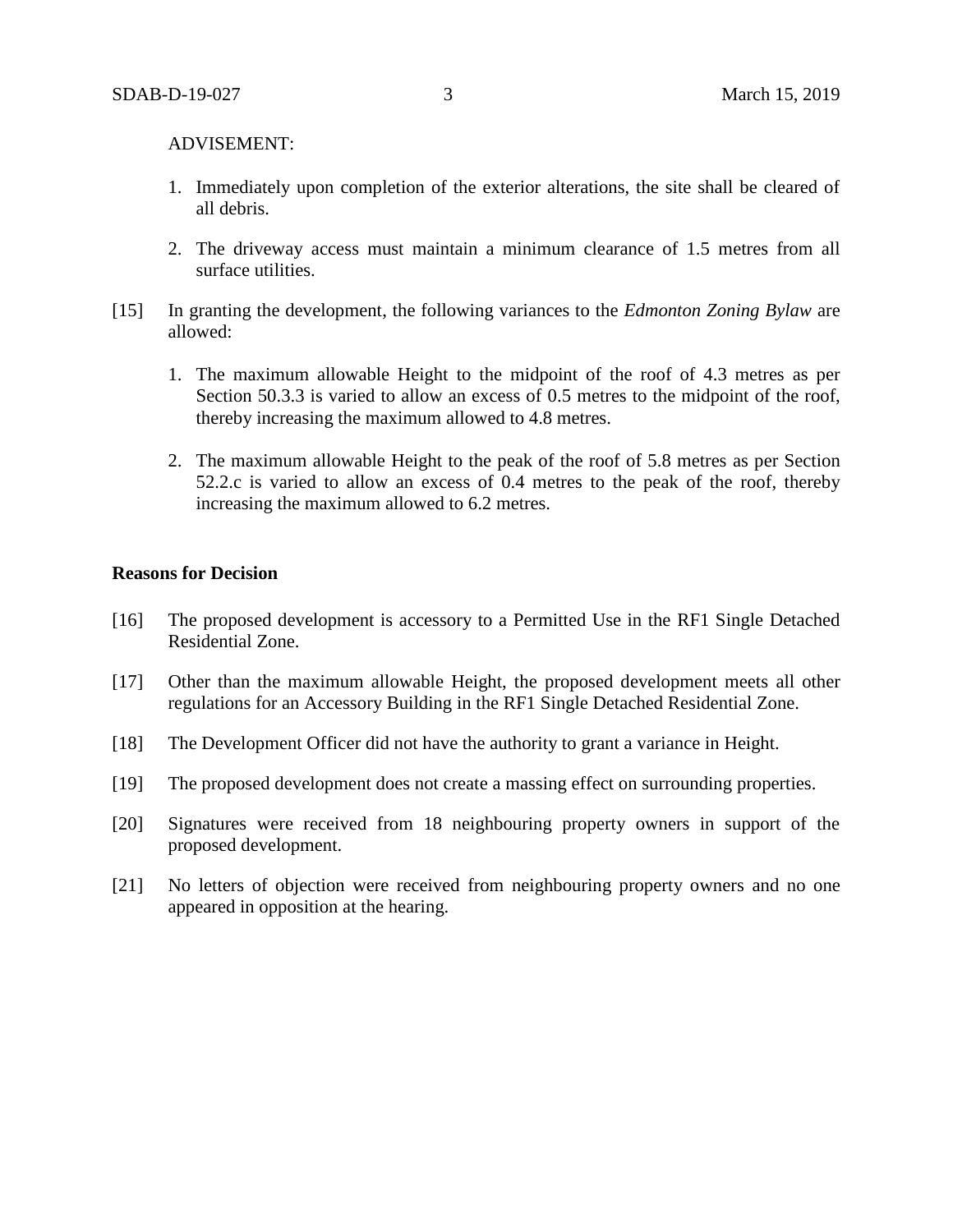#### ADVISEMENT:

- 1. Immediately upon completion of the exterior alterations, the site shall be cleared of all debris.
- 2. The driveway access must maintain a minimum clearance of 1.5 metres from all surface utilities.
- [15] In granting the development, the following variances to the *Edmonton Zoning Bylaw* are allowed:
	- 1. The maximum allowable Height to the midpoint of the roof of 4.3 metres as per Section 50.3.3 is varied to allow an excess of 0.5 metres to the midpoint of the roof, thereby increasing the maximum allowed to 4.8 metres.
	- 2. The maximum allowable Height to the peak of the roof of 5.8 metres as per Section 52.2.c is varied to allow an excess of 0.4 metres to the peak of the roof, thereby increasing the maximum allowed to 6.2 metres.

#### **Reasons for Decision**

- [16] The proposed development is accessory to a Permitted Use in the RF1 Single Detached Residential Zone.
- [17] Other than the maximum allowable Height, the proposed development meets all other regulations for an Accessory Building in the RF1 Single Detached Residential Zone.
- [18] The Development Officer did not have the authority to grant a variance in Height.
- [19] The proposed development does not create a massing effect on surrounding properties.
- [20] Signatures were received from 18 neighbouring property owners in support of the proposed development.
- [21] No letters of objection were received from neighbouring property owners and no one appeared in opposition at the hearing.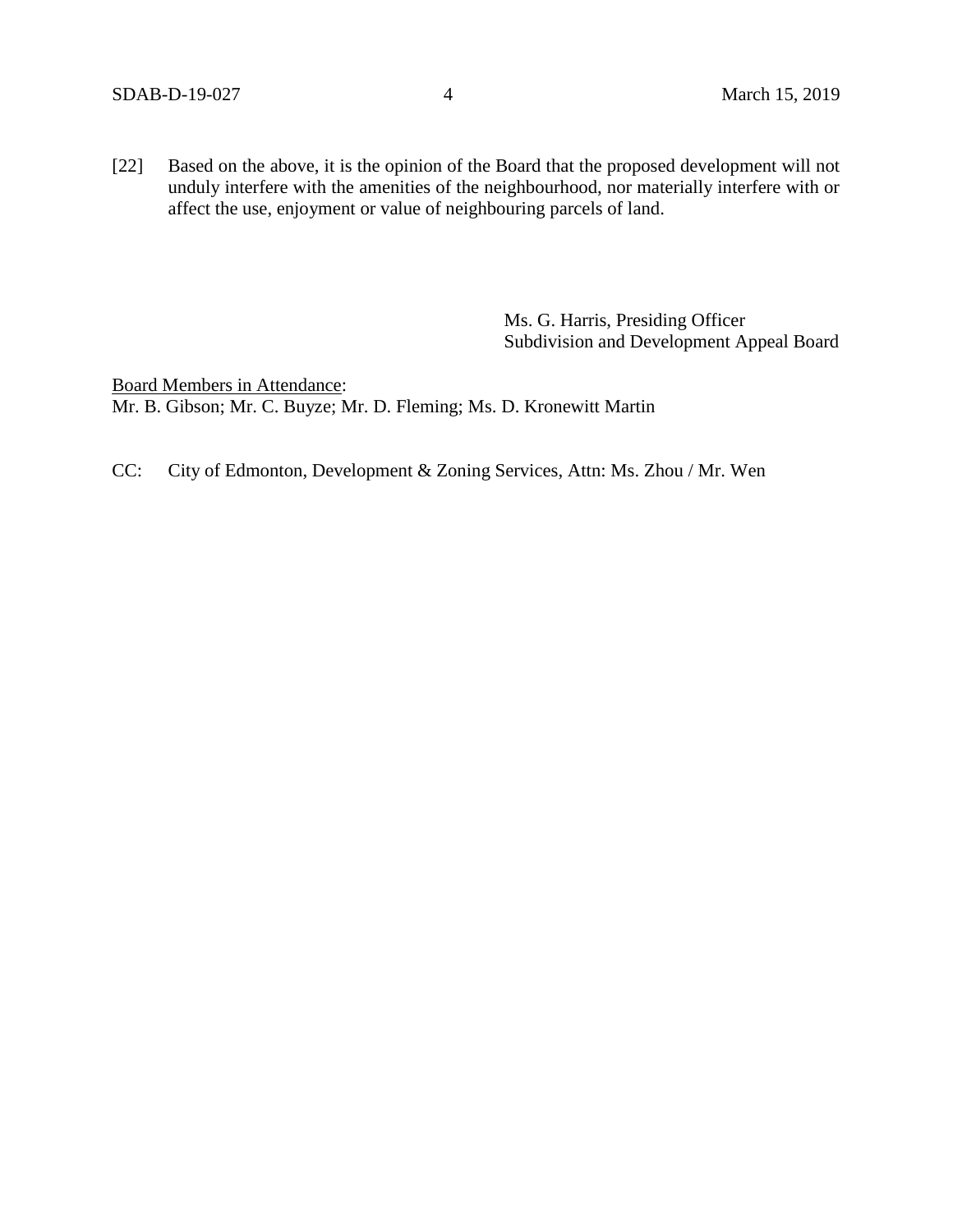[22] Based on the above, it is the opinion of the Board that the proposed development will not unduly interfere with the amenities of the neighbourhood, nor materially interfere with or affect the use, enjoyment or value of neighbouring parcels of land.

> Ms. G. Harris, Presiding Officer Subdivision and Development Appeal Board

Board Members in Attendance: Mr. B. Gibson; Mr. C. Buyze; Mr. D. Fleming; Ms. D. Kronewitt Martin

CC: City of Edmonton, Development & Zoning Services, Attn: Ms. Zhou / Mr. Wen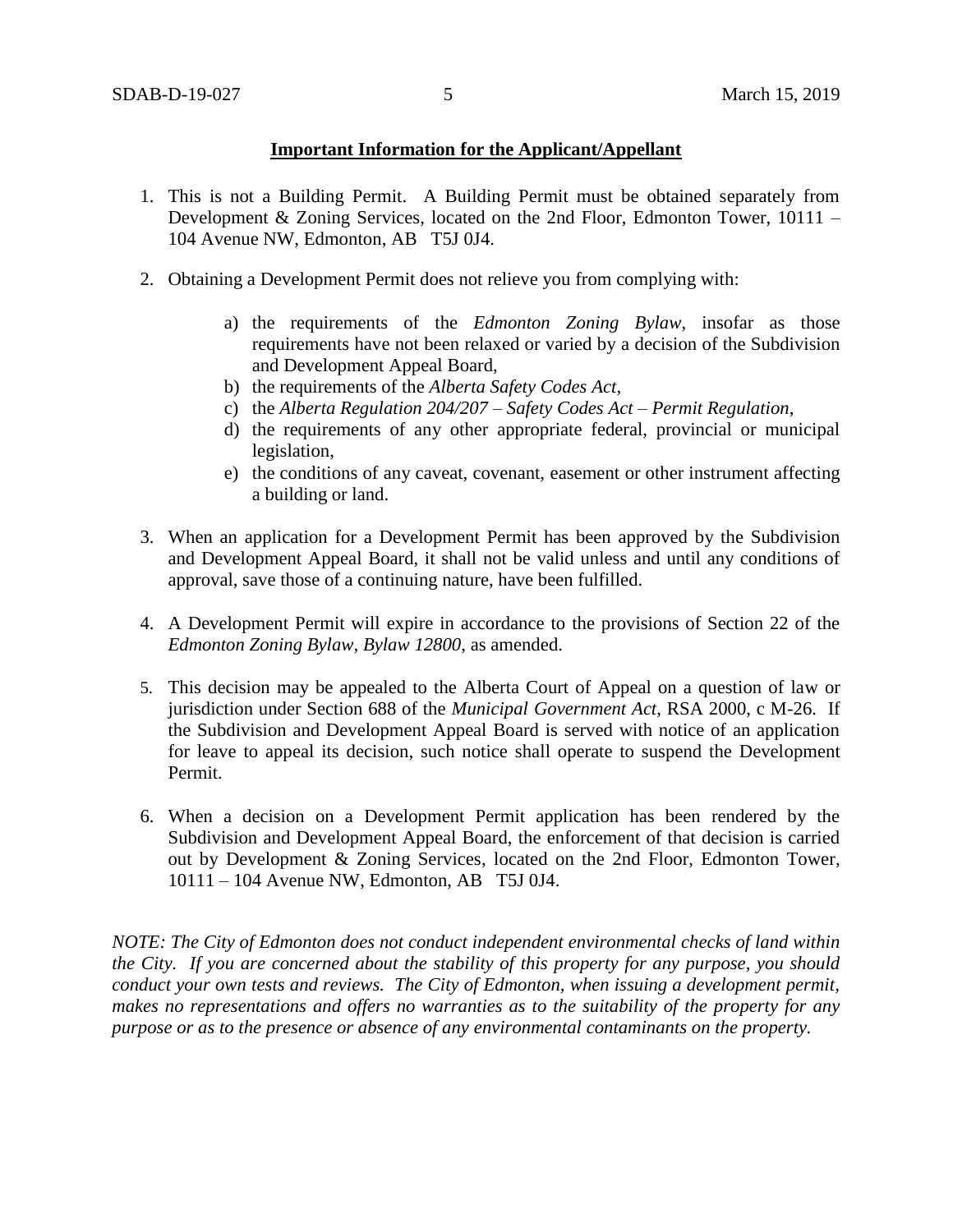## **Important Information for the Applicant/Appellant**

- 1. This is not a Building Permit. A Building Permit must be obtained separately from Development & Zoning Services, located on the 2nd Floor, Edmonton Tower, 10111 – 104 Avenue NW, Edmonton, AB T5J 0J4.
- 2. Obtaining a Development Permit does not relieve you from complying with:
	- a) the requirements of the *Edmonton Zoning Bylaw*, insofar as those requirements have not been relaxed or varied by a decision of the Subdivision and Development Appeal Board,
	- b) the requirements of the *Alberta Safety Codes Act*,
	- c) the *Alberta Regulation 204/207 – Safety Codes Act – Permit Regulation*,
	- d) the requirements of any other appropriate federal, provincial or municipal legislation,
	- e) the conditions of any caveat, covenant, easement or other instrument affecting a building or land.
- 3. When an application for a Development Permit has been approved by the Subdivision and Development Appeal Board, it shall not be valid unless and until any conditions of approval, save those of a continuing nature, have been fulfilled.
- 4. A Development Permit will expire in accordance to the provisions of Section 22 of the *Edmonton Zoning Bylaw, Bylaw 12800*, as amended.
- 5. This decision may be appealed to the Alberta Court of Appeal on a question of law or jurisdiction under Section 688 of the *Municipal Government Act*, RSA 2000, c M-26. If the Subdivision and Development Appeal Board is served with notice of an application for leave to appeal its decision, such notice shall operate to suspend the Development Permit.
- 6. When a decision on a Development Permit application has been rendered by the Subdivision and Development Appeal Board, the enforcement of that decision is carried out by Development & Zoning Services, located on the 2nd Floor, Edmonton Tower, 10111 – 104 Avenue NW, Edmonton, AB T5J 0J4.

*NOTE: The City of Edmonton does not conduct independent environmental checks of land within the City. If you are concerned about the stability of this property for any purpose, you should conduct your own tests and reviews. The City of Edmonton, when issuing a development permit, makes no representations and offers no warranties as to the suitability of the property for any purpose or as to the presence or absence of any environmental contaminants on the property.*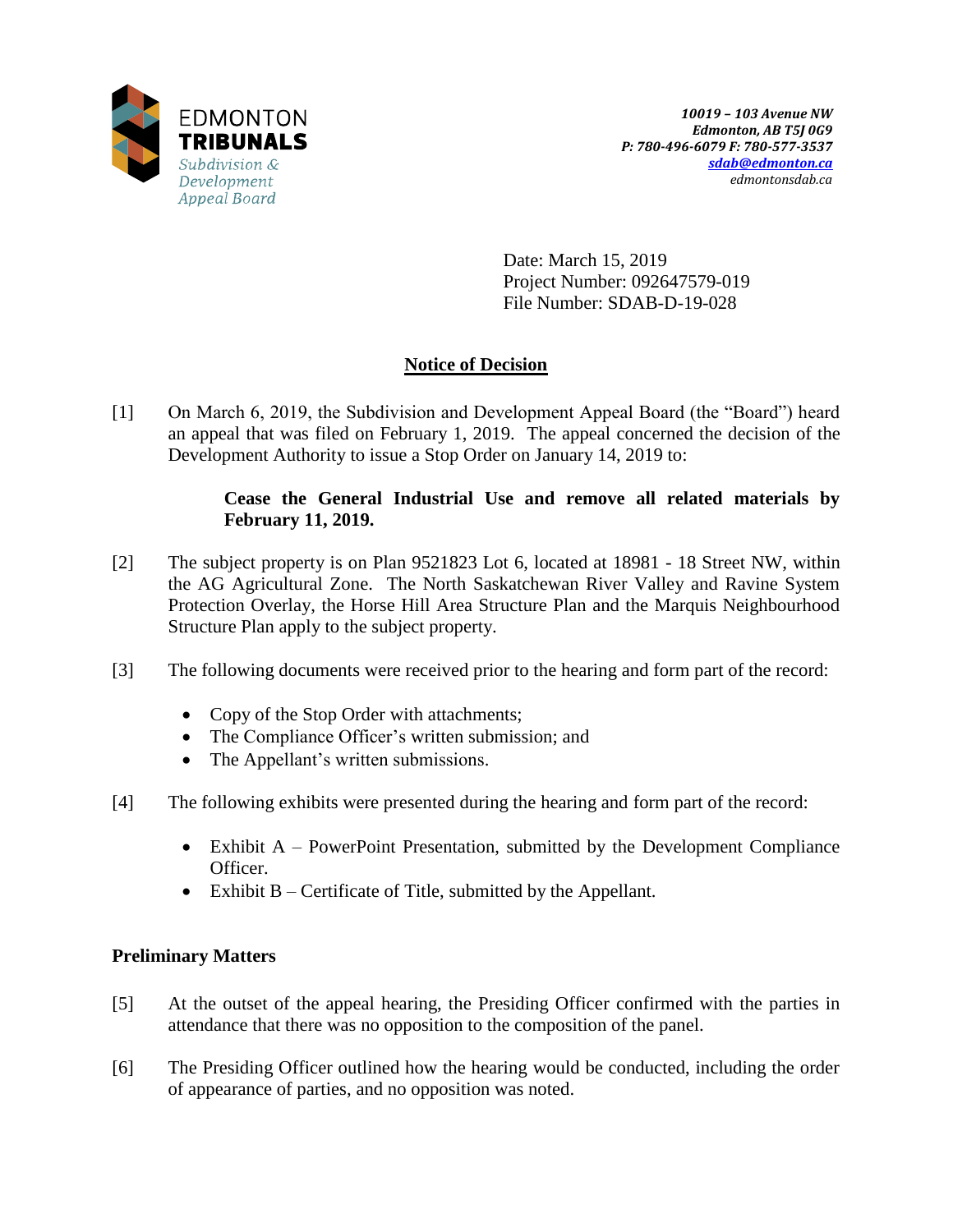

Date: March 15, 2019 Project Number: 092647579-019 File Number: SDAB-D-19-028

# **Notice of Decision**

[1] On March 6, 2019, the Subdivision and Development Appeal Board (the "Board") heard an appeal that was filed on February 1, 2019. The appeal concerned the decision of the Development Authority to issue a Stop Order on January 14, 2019 to:

## **Cease the General Industrial Use and remove all related materials by February 11, 2019.**

- [2] The subject property is on Plan 9521823 Lot 6, located at 18981 18 Street NW, within the AG Agricultural Zone. The North Saskatchewan River Valley and Ravine System Protection Overlay, the Horse Hill Area Structure Plan and the Marquis Neighbourhood Structure Plan apply to the subject property.
- [3] The following documents were received prior to the hearing and form part of the record:
	- Copy of the Stop Order with attachments;
	- The Compliance Officer's written submission; and
	- The Appellant's written submissions.
- [4] The following exhibits were presented during the hearing and form part of the record:
	- Exhibit  $A$  PowerPoint Presentation, submitted by the Development Compliance Officer.
	- Exhibit B Certificate of Title, submitted by the Appellant.

# **Preliminary Matters**

- [5] At the outset of the appeal hearing, the Presiding Officer confirmed with the parties in attendance that there was no opposition to the composition of the panel.
- [6] The Presiding Officer outlined how the hearing would be conducted, including the order of appearance of parties, and no opposition was noted.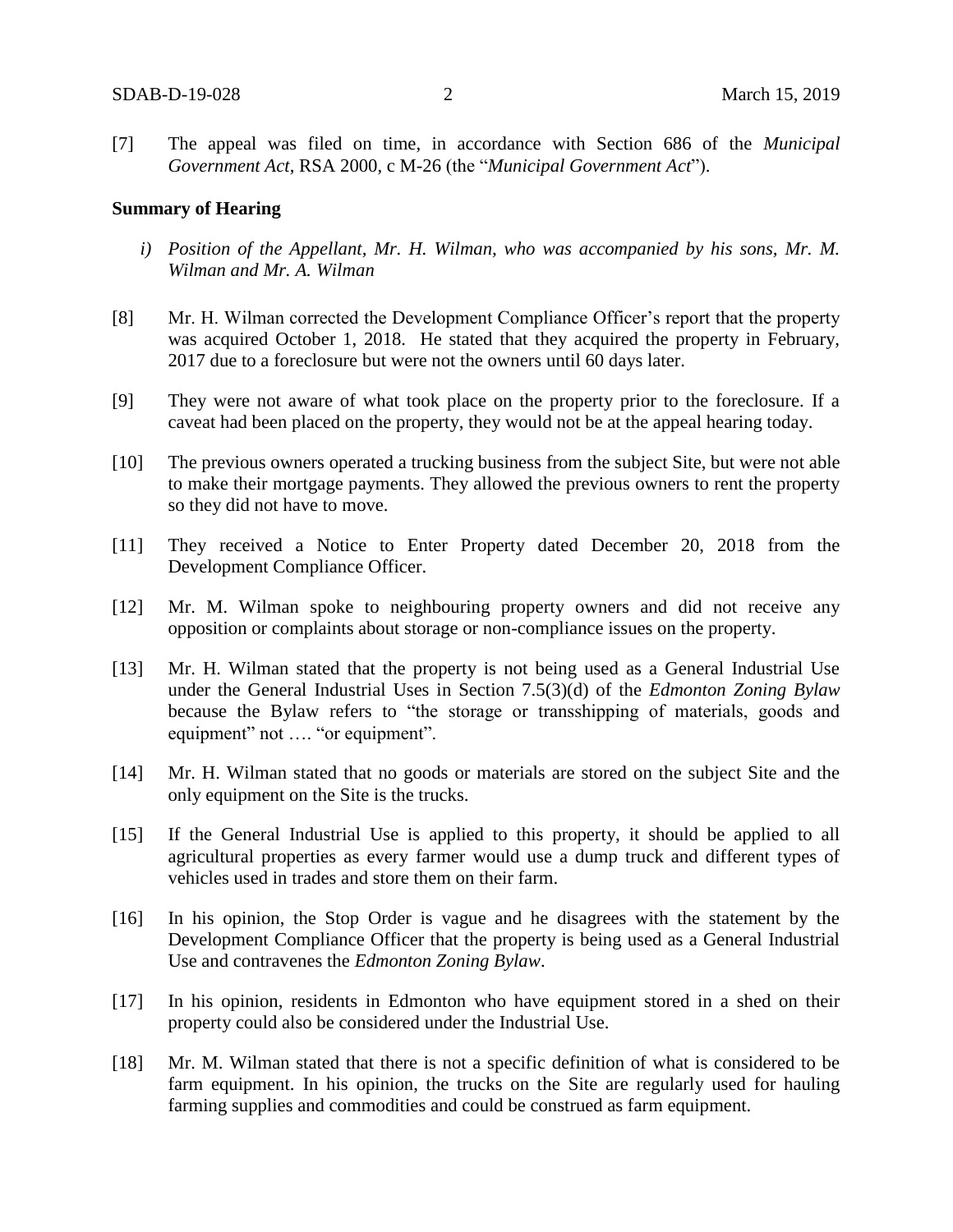[7] The appeal was filed on time, in accordance with Section 686 of the *Municipal Government Act*, RSA 2000, c M-26 (the "*Municipal Government Act*").

### **Summary of Hearing**

- *i) Position of the Appellant, Mr. H. Wilman, who was accompanied by his sons, Mr. M. Wilman and Mr. A. Wilman*
- [8] Mr. H. Wilman corrected the Development Compliance Officer's report that the property was acquired October 1, 2018. He stated that they acquired the property in February, 2017 due to a foreclosure but were not the owners until 60 days later.
- [9] They were not aware of what took place on the property prior to the foreclosure. If a caveat had been placed on the property, they would not be at the appeal hearing today.
- [10] The previous owners operated a trucking business from the subject Site, but were not able to make their mortgage payments. They allowed the previous owners to rent the property so they did not have to move.
- [11] They received a Notice to Enter Property dated December 20, 2018 from the Development Compliance Officer.
- [12] Mr. M. Wilman spoke to neighbouring property owners and did not receive any opposition or complaints about storage or non-compliance issues on the property.
- [13] Mr. H. Wilman stated that the property is not being used as a General Industrial Use under the General Industrial Uses in Section 7.5(3)(d) of the *Edmonton Zoning Bylaw*  because the Bylaw refers to "the storage or transshipping of materials, goods and equipment" not .... "or equipment".
- [14] Mr. H. Wilman stated that no goods or materials are stored on the subject Site and the only equipment on the Site is the trucks.
- [15] If the General Industrial Use is applied to this property, it should be applied to all agricultural properties as every farmer would use a dump truck and different types of vehicles used in trades and store them on their farm.
- [16] In his opinion, the Stop Order is vague and he disagrees with the statement by the Development Compliance Officer that the property is being used as a General Industrial Use and contravenes the *Edmonton Zoning Bylaw*.
- [17] In his opinion, residents in Edmonton who have equipment stored in a shed on their property could also be considered under the Industrial Use.
- [18] Mr. M. Wilman stated that there is not a specific definition of what is considered to be farm equipment. In his opinion, the trucks on the Site are regularly used for hauling farming supplies and commodities and could be construed as farm equipment.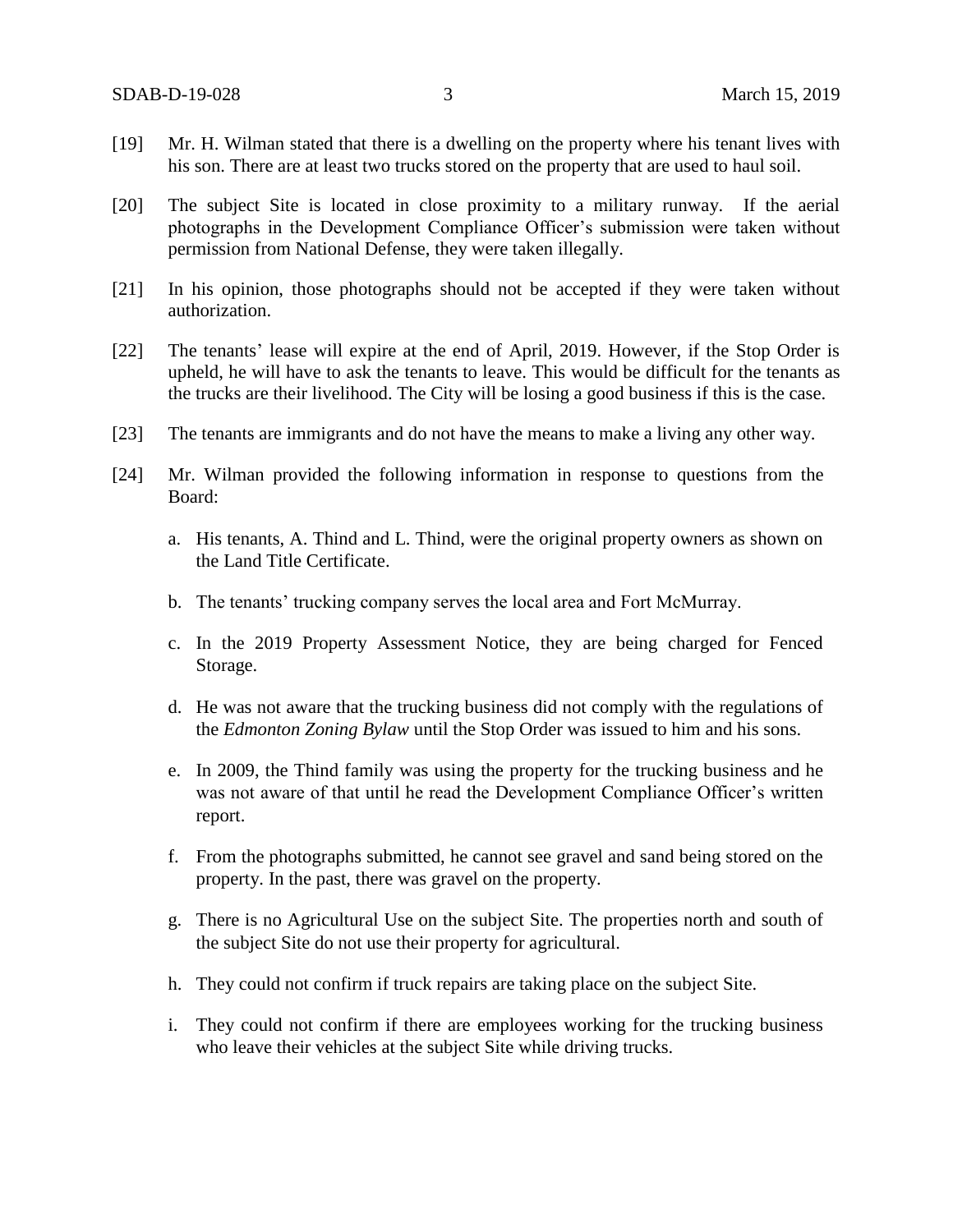- [19] Mr. H. Wilman stated that there is a dwelling on the property where his tenant lives with his son. There are at least two trucks stored on the property that are used to haul soil.
- [20] The subject Site is located in close proximity to a military runway. If the aerial photographs in the Development Compliance Officer's submission were taken without permission from National Defense, they were taken illegally.
- [21] In his opinion, those photographs should not be accepted if they were taken without authorization.
- [22] The tenants' lease will expire at the end of April, 2019. However, if the Stop Order is upheld, he will have to ask the tenants to leave. This would be difficult for the tenants as the trucks are their livelihood. The City will be losing a good business if this is the case.
- [23] The tenants are immigrants and do not have the means to make a living any other way.
- [24] Mr. Wilman provided the following information in response to questions from the Board:
	- a. His tenants, A. Thind and L. Thind, were the original property owners as shown on the Land Title Certificate.
	- b. The tenants' trucking company serves the local area and Fort McMurray.
	- c. In the 2019 Property Assessment Notice, they are being charged for Fenced Storage.
	- d. He was not aware that the trucking business did not comply with the regulations of the *Edmonton Zoning Bylaw* until the Stop Order was issued to him and his sons.
	- e. In 2009, the Thind family was using the property for the trucking business and he was not aware of that until he read the Development Compliance Officer's written report.
	- f. From the photographs submitted, he cannot see gravel and sand being stored on the property. In the past, there was gravel on the property.
	- g. There is no Agricultural Use on the subject Site. The properties north and south of the subject Site do not use their property for agricultural.
	- h. They could not confirm if truck repairs are taking place on the subject Site.
	- i. They could not confirm if there are employees working for the trucking business who leave their vehicles at the subject Site while driving trucks.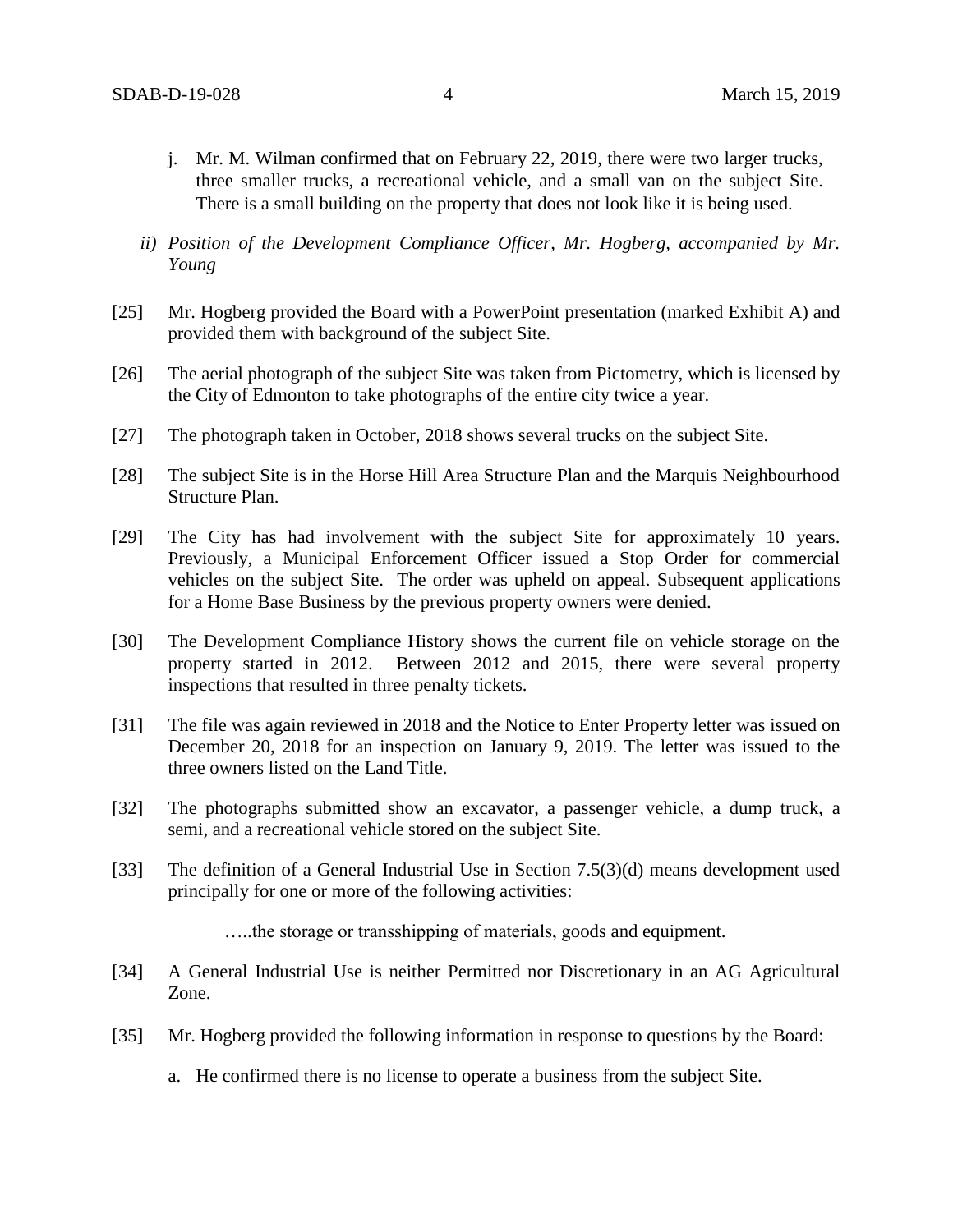- j. Mr. M. Wilman confirmed that on February 22, 2019, there were two larger trucks, three smaller trucks, a recreational vehicle, and a small van on the subject Site. There is a small building on the property that does not look like it is being used.
- *ii) Position of the Development Compliance Officer, Mr. Hogberg, accompanied by Mr. Young*
- [25] Mr. Hogberg provided the Board with a PowerPoint presentation (marked Exhibit A) and provided them with background of the subject Site.
- [26] The aerial photograph of the subject Site was taken from Pictometry, which is licensed by the City of Edmonton to take photographs of the entire city twice a year.
- [27] The photograph taken in October, 2018 shows several trucks on the subject Site.
- [28] The subject Site is in the Horse Hill Area Structure Plan and the Marquis Neighbourhood Structure Plan.
- [29] The City has had involvement with the subject Site for approximately 10 years. Previously, a Municipal Enforcement Officer issued a Stop Order for commercial vehicles on the subject Site. The order was upheld on appeal. Subsequent applications for a Home Base Business by the previous property owners were denied.
- [30] The Development Compliance History shows the current file on vehicle storage on the property started in 2012. Between 2012 and 2015, there were several property inspections that resulted in three penalty tickets.
- [31] The file was again reviewed in 2018 and the Notice to Enter Property letter was issued on December 20, 2018 for an inspection on January 9, 2019. The letter was issued to the three owners listed on the Land Title.
- [32] The photographs submitted show an excavator, a passenger vehicle, a dump truck, a semi, and a recreational vehicle stored on the subject Site.
- [33] The definition of a General Industrial Use in Section 7.5(3)(d) means development used principally for one or more of the following activities:

…..the storage or transshipping of materials, goods and equipment.

- [34] A General Industrial Use is neither Permitted nor Discretionary in an AG Agricultural Zone.
- [35] Mr. Hogberg provided the following information in response to questions by the Board:
	- a. He confirmed there is no license to operate a business from the subject Site.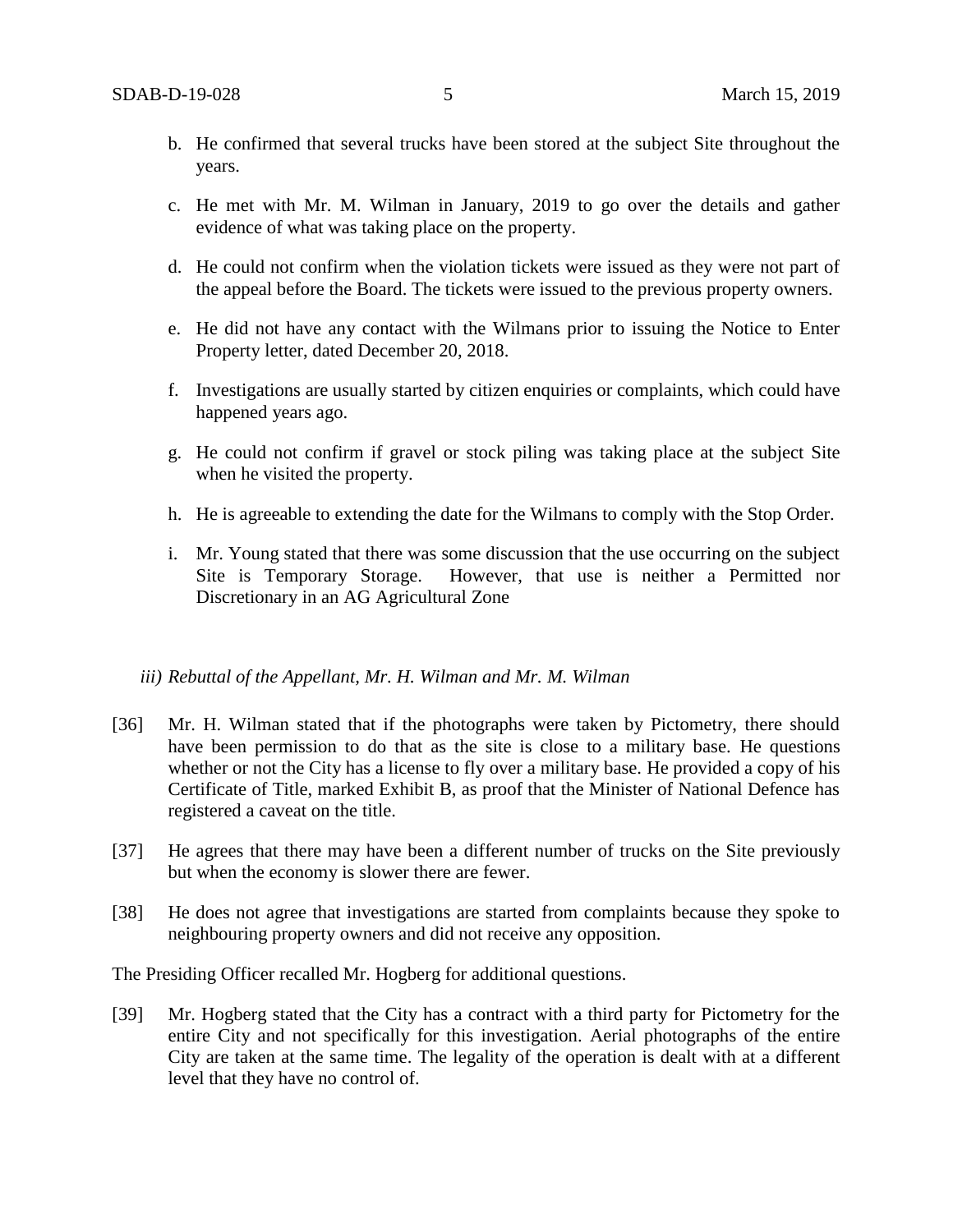- b. He confirmed that several trucks have been stored at the subject Site throughout the years.
- c. He met with Mr. M. Wilman in January, 2019 to go over the details and gather evidence of what was taking place on the property.
- d. He could not confirm when the violation tickets were issued as they were not part of the appeal before the Board. The tickets were issued to the previous property owners.
- e. He did not have any contact with the Wilmans prior to issuing the Notice to Enter Property letter, dated December 20, 2018.
- f. Investigations are usually started by citizen enquiries or complaints, which could have happened years ago.
- g. He could not confirm if gravel or stock piling was taking place at the subject Site when he visited the property.
- h. He is agreeable to extending the date for the Wilmans to comply with the Stop Order.
- i. Mr. Young stated that there was some discussion that the use occurring on the subject Site is Temporary Storage. However, that use is neither a Permitted nor Discretionary in an AG Agricultural Zone

### *iii) Rebuttal of the Appellant, Mr. H. Wilman and Mr. M. Wilman*

- [36] Mr. H. Wilman stated that if the photographs were taken by Pictometry, there should have been permission to do that as the site is close to a military base. He questions whether or not the City has a license to fly over a military base. He provided a copy of his Certificate of Title, marked Exhibit B, as proof that the Minister of National Defence has registered a caveat on the title.
- [37] He agrees that there may have been a different number of trucks on the Site previously but when the economy is slower there are fewer.
- [38] He does not agree that investigations are started from complaints because they spoke to neighbouring property owners and did not receive any opposition.

The Presiding Officer recalled Mr. Hogberg for additional questions.

[39] Mr. Hogberg stated that the City has a contract with a third party for Pictometry for the entire City and not specifically for this investigation. Aerial photographs of the entire City are taken at the same time. The legality of the operation is dealt with at a different level that they have no control of.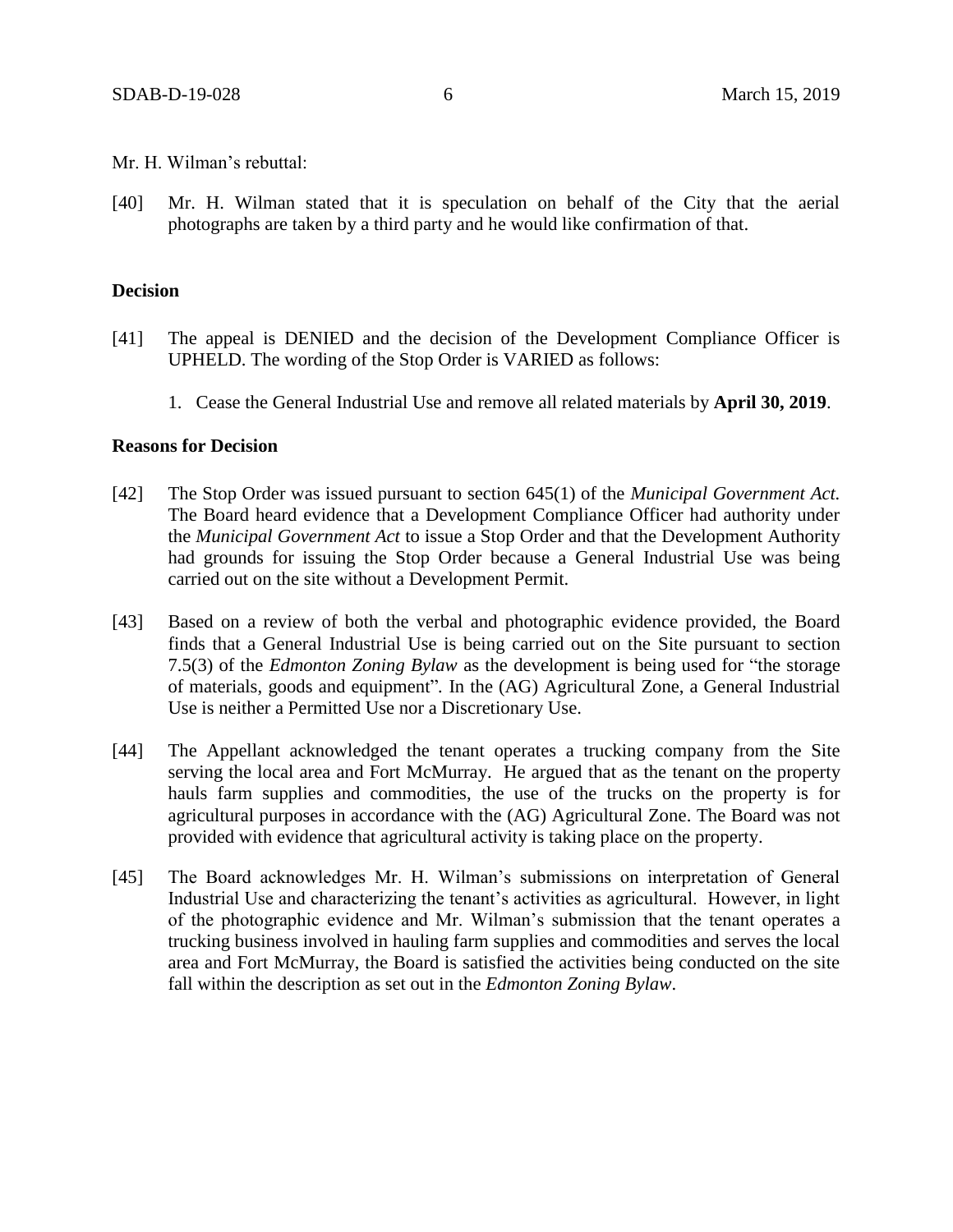- Mr. H. Wilman's rebuttal:
- [40] Mr. H. Wilman stated that it is speculation on behalf of the City that the aerial photographs are taken by a third party and he would like confirmation of that.

### **Decision**

- [41] The appeal is DENIED and the decision of the Development Compliance Officer is UPHELD. The wording of the Stop Order is VARIED as follows:
	- 1. Cease the General Industrial Use and remove all related materials by **April 30, 2019**.

### **Reasons for Decision**

- [42] The Stop Order was issued pursuant to section 645(1) of the *Municipal Government Act.*  The Board heard evidence that a Development Compliance Officer had authority under the *Municipal Government Act* to issue a Stop Order and that the Development Authority had grounds for issuing the Stop Order because a General Industrial Use was being carried out on the site without a Development Permit.
- [43] Based on a review of both the verbal and photographic evidence provided, the Board finds that a General Industrial Use is being carried out on the Site pursuant to section 7.5(3) of the *Edmonton Zoning Bylaw* as the development is being used for "the storage of materials, goods and equipment"*.* In the (AG) Agricultural Zone, a General Industrial Use is neither a Permitted Use nor a Discretionary Use.
- [44] The Appellant acknowledged the tenant operates a trucking company from the Site serving the local area and Fort McMurray. He argued that as the tenant on the property hauls farm supplies and commodities, the use of the trucks on the property is for agricultural purposes in accordance with the (AG) Agricultural Zone. The Board was not provided with evidence that agricultural activity is taking place on the property.
- [45] The Board acknowledges Mr. H. Wilman's submissions on interpretation of General Industrial Use and characterizing the tenant's activities as agricultural. However, in light of the photographic evidence and Mr. Wilman's submission that the tenant operates a trucking business involved in hauling farm supplies and commodities and serves the local area and Fort McMurray, the Board is satisfied the activities being conducted on the site fall within the description as set out in the *Edmonton Zoning Bylaw*.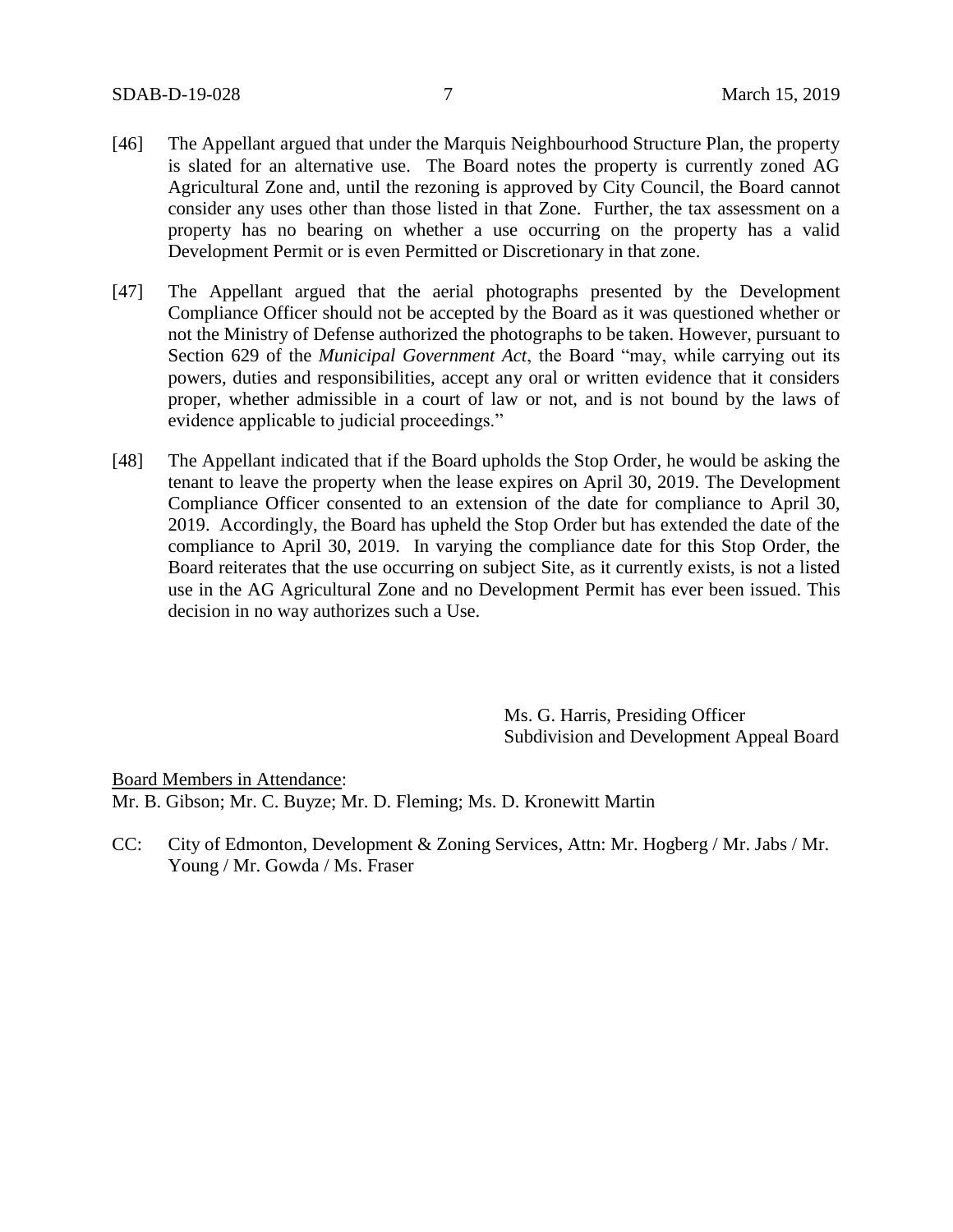- [46] The Appellant argued that under the Marquis Neighbourhood Structure Plan, the property is slated for an alternative use. The Board notes the property is currently zoned AG Agricultural Zone and, until the rezoning is approved by City Council, the Board cannot consider any uses other than those listed in that Zone. Further, the tax assessment on a property has no bearing on whether a use occurring on the property has a valid Development Permit or is even Permitted or Discretionary in that zone.
- [47] The Appellant argued that the aerial photographs presented by the Development Compliance Officer should not be accepted by the Board as it was questioned whether or not the Ministry of Defense authorized the photographs to be taken. However, pursuant to Section 629 of the *Municipal Government Act*, the Board "may, while carrying out its powers, duties and responsibilities, accept any oral or written evidence that it considers proper, whether admissible in a court of law or not, and is not bound by the laws of evidence applicable to judicial proceedings."
- [48] The Appellant indicated that if the Board upholds the Stop Order, he would be asking the tenant to leave the property when the lease expires on April 30, 2019. The Development Compliance Officer consented to an extension of the date for compliance to April 30, 2019. Accordingly, the Board has upheld the Stop Order but has extended the date of the compliance to April 30, 2019. In varying the compliance date for this Stop Order, the Board reiterates that the use occurring on subject Site, as it currently exists, is not a listed use in the AG Agricultural Zone and no Development Permit has ever been issued. This decision in no way authorizes such a Use.

Ms. G. Harris, Presiding Officer Subdivision and Development Appeal Board

Board Members in Attendance: Mr. B. Gibson; Mr. C. Buyze; Mr. D. Fleming; Ms. D. Kronewitt Martin

CC: City of Edmonton, Development & Zoning Services, Attn: Mr. Hogberg / Mr. Jabs / Mr. Young / Mr. Gowda / Ms. Fraser